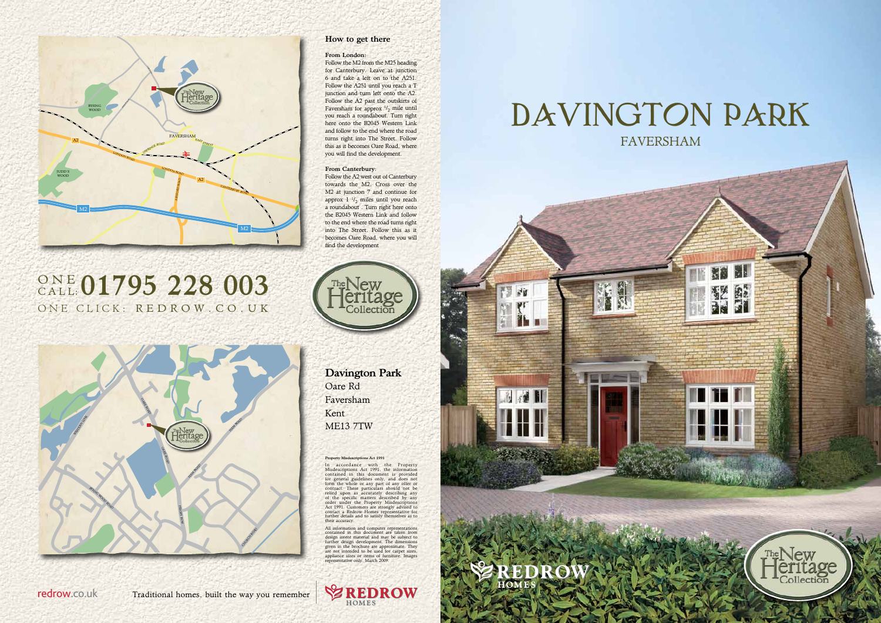#### Property Misdescriptions Act 1991

In accordance with the Property<br>Misdescriptions Act 1991, the information<br>contained in this document is provided<br>for general guidelines only, and does not<br>form the whole or any part of any offer or<br>contract. These particul

# FAVERSHAM DAVINGTON PARK



All information and computer representations contained in this document are taken from design intent material and may be subject to further design development. The dimensions given in the brochure are approximate. They are not intended to be used for carpet sizes, appliance sizes or items of furniture. Images representative only. March 2009.



Davington Park Oare Rd Faversham Kent ME13 7TW



# ONE CLICK: REDROW.CO.UK ONE 01795 228 003



## How to get there

#### From London:

Follow the M2 from the M25 heading for Canterbury. Leave at junction 6 and take a left on to the A251. Follow the A251 until you reach a T junction and turn left onto the A2. Follow the A2 past the outskirts of Faversham for approx  $\frac{1}{2}$  mile until you reach a roundabout. Turn right here onto the B2045 Western Link and follow to the end where the road turns right into The Street. Follow this as it becomes Oare Road, where you will find the development.

#### From Canterbury:

Follow the A2 west out of Canterbury towards the M2. Cross over the M2 at junction 7 and continue for approx  $1 \frac{1}{2}$  miles until you reach a roundabout . Turn right here onto the B2045 Western Link and follow to the end where the road turns right into The Street. Follow this as it becomes Oare Road, where you will find the development